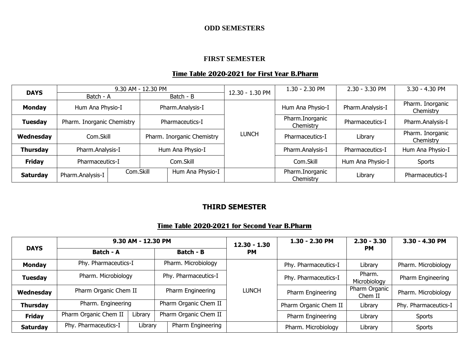### **ODD SEMESTERS**

### **FIRST SEMESTER**

### **Time Table 2020-2021 for First Year B.Pharm**

|                 |                            |           | 9.30 AM - 12.30 PM |                            | 12.30 - 1.30 PM | 1.30 - 2.30 PM               | 2.30 - 3.30 PM   | 3.30 - 4.30 PM                |
|-----------------|----------------------------|-----------|--------------------|----------------------------|-----------------|------------------------------|------------------|-------------------------------|
| <b>DAYS</b>     | Batch - A                  |           |                    | Batch - B                  |                 |                              |                  |                               |
| <b>Monday</b>   | Hum Ana Physio-I           |           |                    | Pharm.Analysis-I           |                 | Hum Ana Physio-I             | Pharm.Analysis-I | Pharm. Inorganic<br>Chemistry |
| <b>Tuesday</b>  | Pharm. Inorganic Chemistry |           | Pharmaceutics-I    |                            |                 | Pharm.Inorganic<br>Chemistry | Pharmaceutics-I  | Pharm.Analysis-I              |
| Wednesday       |                            | Com.Skill |                    | Pharm. Inorganic Chemistry | <b>LUNCH</b>    | Pharmaceutics-I              | Library          | Pharm. Inorganic<br>Chemistry |
| <b>Thursday</b> | Pharm.Analysis-I           |           |                    | Hum Ana Physio-I           |                 | Pharm.Analysis-I             | Pharmaceutics-I  | Hum Ana Physio-I              |
| <b>Friday</b>   | Pharmaceutics-I            |           |                    | Com.Skill                  |                 | Com.Skill                    | Hum Ana Physio-I | <b>Sports</b>                 |
| <b>Saturday</b> | Pharm.Analysis-I           | Com.Skill |                    | Hum Ana Physio-I           |                 | Pharm.Inorganic<br>Chemistry | Library          | Pharmaceutics-I               |

# **THIRD SEMESTER**

### **Time Table 2020-2021 for Second Year B.Pharm**

|                 |                       | 9.30 AM - 12.30 PM                          |                       |                             | 1.30 - 2.30 PM        | $2.30 - 3.30$            | 3.30 - 4.30 PM       |
|-----------------|-----------------------|---------------------------------------------|-----------------------|-----------------------------|-----------------------|--------------------------|----------------------|
| <b>DAYS</b>     | <b>Batch - A</b>      |                                             | <b>Batch - B</b>      | $12.30 - 1.30$<br><b>PM</b> |                       | <b>PM</b>                |                      |
| <b>Monday</b>   | Phy. Pharmaceutics-I  |                                             | Pharm. Microbiology   |                             | Phy. Pharmaceutics-I  | Library                  | Pharm. Microbiology  |
| <b>Tuesday</b>  |                       | Pharm. Microbiology<br>Phy. Pharmaceutics-I |                       |                             | Phy. Pharmaceutics-I  | Pharm.<br>Microbiology   | Pharm Engineering    |
| Wednesday       | Pharm Organic Chem II |                                             | Pharm Engineering     | <b>LUNCH</b>                | Pharm Engineering     | Pharm Organic<br>Chem II | Pharm. Microbiology  |
| <b>Thursday</b> | Pharm. Engineering    |                                             | Pharm Organic Chem II |                             | Pharm Organic Chem II | Library                  | Phy. Pharmaceutics-I |
| <b>Friday</b>   | Pharm Organic Chem II | Library                                     | Pharm Organic Chem II |                             | Pharm Engineering     | Library                  | <b>Sports</b>        |
| <b>Saturday</b> | Phy. Pharmaceutics-I  | Library                                     | Pharm Engineering     |                             | Pharm. Microbiology   | Library                  | <b>Sports</b>        |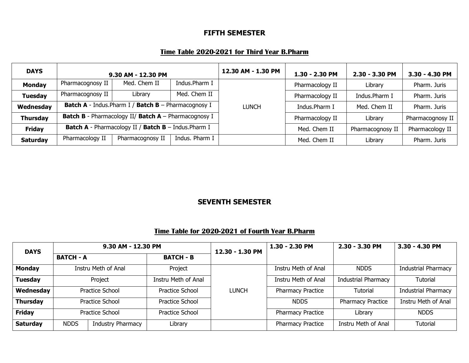# **FIFTH SEMESTER**

# **Time Table 2020-2021 for Third Year B.Pharm**

| <b>DAYS</b>     | 9.30 AM - 12.30 PM                                          |                                                                    | 12.30 AM - 1.30 PM | 1.30 - 2.30 PM | $2.30 - 3.30$ PM | 3.30 - 4.30 PM   |                  |
|-----------------|-------------------------------------------------------------|--------------------------------------------------------------------|--------------------|----------------|------------------|------------------|------------------|
| <b>Monday</b>   | Pharmacognosy II                                            | Med. Chem II                                                       | Indus.Pharm I      |                | Pharmacology II  | Library          | Pharm. Juris     |
| <b>Tuesday</b>  | Pharmacognosy II                                            | Library                                                            | Med. Chem II       |                | Pharmacology II  | Indus.Pharm I    | Pharm. Juris     |
| Wednesday       | <b>Batch A</b> - Indus. Pharm I / Batch B - Pharmacognosy I |                                                                    |                    | <b>LUNCH</b>   | Indus.Pharm I    | Med. Chem II     | Pharm, Juris     |
| <b>Thursday</b> |                                                             | <b>Batch B</b> - Pharmacology II/ <b>Batch A</b> - Pharmacognosy I |                    |                | Pharmacology II  | Library          | Pharmacognosy II |
| <b>Friday</b>   | Batch A - Pharmacology II / Batch B - Indus. Pharm I        |                                                                    |                    |                | Med. Chem II     | Pharmacognosy II | Pharmacology II  |
| <b>Saturday</b> | Pharmacology II                                             | Pharmacognosy II                                                   | Indus. Pharm I     |                | Med. Chem II     | Library          | Pharm. Juris     |

# **SEVENTH SEMESTER**

### **Time Table for 2020-2021 of Fourth Year B.Pharm**

|                                                                                                             | 9.30 AM - 12.30 PM                   |                     |                     | 12.30 - 1.30 PM | 1.30 - 2.30 PM           | 2.30 - 3.30 PM             | 3.30 - 4.30 PM             |
|-------------------------------------------------------------------------------------------------------------|--------------------------------------|---------------------|---------------------|-----------------|--------------------------|----------------------------|----------------------------|
| <b>DAYS</b><br><b>Monday</b><br><b>Tuesday</b><br>Wednesday<br><b>Thursday</b><br><b>Friday</b><br>Saturday | <b>BATCH - B</b><br><b>BATCH - A</b> |                     |                     |                 |                          |                            |                            |
|                                                                                                             |                                      | Instru Meth of Anal | Project             |                 | Instru Meth of Anal      | <b>NDDS</b>                | <b>Industrial Pharmacy</b> |
|                                                                                                             |                                      | Project             | Instru Meth of Anal |                 | Instru Meth of Anal      | <b>Industrial Pharmacy</b> | Tutorial                   |
|                                                                                                             |                                      | Practice School     | Practice School     | <b>LUNCH</b>    | <b>Pharmacy Practice</b> | <b>Tutorial</b>            | <b>Industrial Pharmacy</b> |
|                                                                                                             |                                      | Practice School     | Practice School     |                 | <b>NDDS</b>              | Pharmacy Practice          | Instru Meth of Anal        |
|                                                                                                             |                                      | Practice School     | Practice School     |                 | <b>Pharmacy Practice</b> | Library                    | <b>NDDS</b>                |
|                                                                                                             | <b>NDDS</b>                          | Industry Pharmacy   | Library             |                 | <b>Pharmacy Practice</b> | Instru Meth of Anal        | Tutorial                   |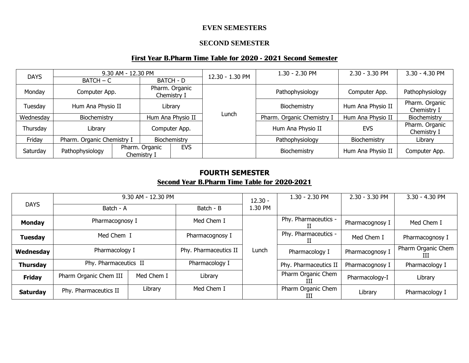### **EVEN SEMESTERS**

#### **SECOND SEMESTER**

# **First Year B.Pharm Time Table for 2020 - 2021 Second Semester**

|             |                            | 9.30 AM - 12.30 PM |                                             |                               |       | 1.30 - 2.30 PM             | 2.30 - 3.30 PM    | 3.30 - 4.30 PM                |
|-------------|----------------------------|--------------------|---------------------------------------------|-------------------------------|-------|----------------------------|-------------------|-------------------------------|
| <b>DAYS</b> | $BATCH - C$                |                    |                                             | 12.30 - 1.30 PM<br>BATCH - D  |       |                            |                   |                               |
| Monday      | Computer App.              |                    |                                             | Pharm. Organic<br>Chemistry I |       | Pathophysiology            | Computer App.     | Pathophysiology               |
| Tuesday     | Hum Ana Physio II          |                    |                                             | Library                       |       | Biochemistry               | Hum Ana Physio II | Pharm. Organic<br>Chemistry I |
| Wednesday   | Biochemistry               |                    | Hum Ana Physio II                           |                               | Lunch | Pharm. Organic Chemistry I | Hum Ana Physio II | Biochemistry                  |
| Thursday    | Library                    |                    |                                             | Computer App.                 |       | Hum Ana Physio II          | <b>EVS</b>        | Pharm. Organic<br>Chemistry I |
| Friday      | Pharm. Organic Chemistry I |                    |                                             | Biochemistry                  |       | Pathophysiology            | Biochemistry      | Library                       |
| Saturday    | Pathophysiology            |                    | <b>EVS</b><br>Pharm. Organic<br>Chemistry I |                               |       | Biochemistry               | Hum Ana Physio II | Computer App.                 |

# **FOURTH SEMESTER Second Year B.Pharm Time Table for 2020-2021**

|                                                                                                                    |                        | 9.30 AM - 12.30 PM |                       | $12.30 -$ | 1.30 - 2.30 PM          | 2.30 - 3.30 PM  | 3.30 - 4.30 PM          |
|--------------------------------------------------------------------------------------------------------------------|------------------------|--------------------|-----------------------|-----------|-------------------------|-----------------|-------------------------|
| <b>DAYS</b><br><b>Monday</b><br><b>Tuesday</b><br>Wednesday<br><b>Thursday</b><br><b>Friday</b><br><b>Saturday</b> | Batch - A              |                    | Batch - B             | 1.30 PM   |                         |                 |                         |
|                                                                                                                    | Pharmacognosy I        |                    | Med Chem I            |           | Phy. Pharmaceutics -    | Pharmacognosy I | Med Chem I              |
|                                                                                                                    | Med Chem I             |                    | Pharmacognosy I       |           | Phy. Pharmaceutics -    | Med Chem I      | Pharmacognosy I         |
|                                                                                                                    | Pharmacology I         |                    | Phy. Pharmaceutics II | Lunch     | Pharmacology I          | Pharmacognosy I | Pharm Organic Chem<br>Ш |
|                                                                                                                    | Phy. Pharmaceutics II  |                    | Pharmacology I        |           | Phy. Pharmaceutics II   | Pharmacognosy I | Pharmacology I          |
|                                                                                                                    | Pharm Organic Chem III | Med Chem I         | Library               |           | Pharm Organic Chem<br>ш | Pharmacology-I  | Library                 |
|                                                                                                                    | Phy. Pharmaceutics II  | Library            | Med Chem I            |           | Pharm Organic Chem<br>Ш | Library         | Pharmacology I          |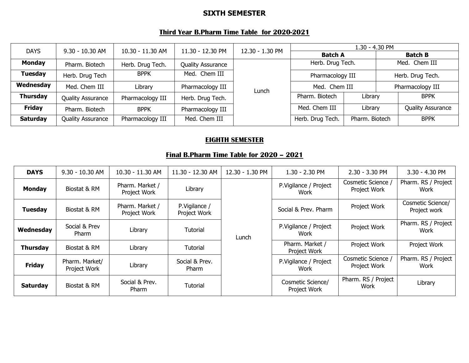# **SIXTH SEMESTER**

### **Third Year B.Pharm Time Table for 2020-2021**

|                 | 9.30 - 10.30 AM          |                  |                          |                 |                                   | 1.30 - 4.30 PM |                  |                          |
|-----------------|--------------------------|------------------|--------------------------|-----------------|-----------------------------------|----------------|------------------|--------------------------|
| <b>DAYS</b>     |                          | 10.30 - 11.30 AM | 11.30 - 12.30 PM         | 12.30 - 1.30 PM | <b>Batch A</b>                    |                | <b>Batch B</b>   |                          |
| <b>Monday</b>   | Pharm. Biotech           | Herb. Drug Tech. | <b>Quality Assurance</b> |                 | Herb. Drug Tech.                  |                | Med. Chem III    |                          |
| <b>Tuesday</b>  | Herb. Drug Tech          | <b>BPPK</b>      | Med. Chem III            |                 | Pharmacology III<br>Med. Chem III |                | Herb. Drug Tech. |                          |
| Wednesday       | Med. Chem III            | Library          | Pharmacology III         | Lunch           |                                   |                |                  | Pharmacology III         |
| <b>Thursday</b> | <b>Quality Assurance</b> | Pharmacology III | Herb. Drug Tech.         |                 | Pharm. Biotech                    | Library        |                  | <b>BPPK</b>              |
| Friday          | Pharm. Biotech           | <b>BPPK</b>      | Pharmacology III         |                 | Med. Chem III<br>Library          |                |                  | <b>Quality Assurance</b> |
| <b>Saturday</b> | <b>Quality Assurance</b> | Pharmacology III | Med. Chem III            |                 | Herb. Drug Tech.                  | Pharm. Biotech |                  | <b>BPPK</b>              |

### **EIGHTH SEMESTER**

### **Final B.Pharm Time Table for 2020 – 2021**

| <b>DAYS</b>     | 9.30 - 10.30 AM                | 10.30 - 11.30 AM                | 11.30 - 12.30 AM              | 12.30 - 1.30 PM | $1.30 - 2.30$ PM                  | $2.30 - 3.30$ PM                   | 3.30 - 4.30 PM                    |
|-----------------|--------------------------------|---------------------------------|-------------------------------|-----------------|-----------------------------------|------------------------------------|-----------------------------------|
| <b>Monday</b>   | Biostat & RM                   | Pharm. Market /<br>Project Work | Library                       |                 | P.Vigilance / Project<br>Work     | Cosmetic Science /<br>Project Work | Pharm. RS / Project<br>Work       |
| <b>Tuesday</b>  | Biostat & RM                   | Pharm. Market /<br>Project Work | P.Vigilance /<br>Project Work | Lunch           | Social & Prev. Pharm              | Project Work                       | Cosmetic Science/<br>Project work |
| Wednesday       | Social & Prev<br>Pharm         | Library                         | Tutorial                      |                 | P.Vigilance / Project<br>Work     | Project Work                       | Pharm. RS / Project<br>Work       |
| <b>Thursday</b> | Biostat & RM                   | Library                         | Tutorial                      |                 | Pharm. Market /<br>Project Work   | Project Work                       | Project Work                      |
| <b>Friday</b>   | Pharm. Market/<br>Project Work | Library                         | Social & Prev.<br>Pharm       |                 | P.Vigilance / Project<br>Work     | Cosmetic Science /<br>Project Work | Pharm. RS / Project<br>Work       |
| <b>Saturday</b> | Biostat & RM                   | Social & Prev.<br><b>Pharm</b>  | Tutorial                      |                 | Cosmetic Science/<br>Project Work | Pharm. RS / Project<br>Work        | Library                           |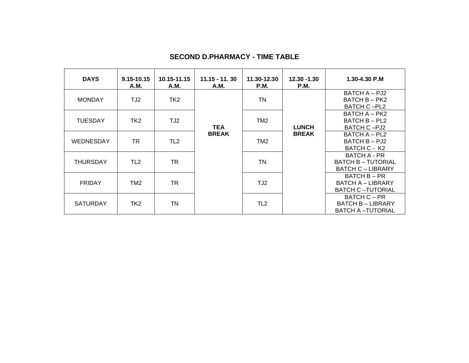| <b>DAYS</b>     | 9.15-10.15<br>A.M. | 10.15-11.15<br>A.M. | $11.15 - 11.30$<br>A.M. | 11.30-12.30<br>P.M. | 12.30 -1.30<br>P.M. | 1.30-4.30 P.M                                                                |
|-----------------|--------------------|---------------------|-------------------------|---------------------|---------------------|------------------------------------------------------------------------------|
| <b>MONDAY</b>   | TJ2                | TK <sub>2</sub>     |                         | <b>TN</b>           |                     | BATCH A - PJ2<br><b>BATCH B - PK2</b><br><b>BATCH C-PL2</b>                  |
| <b>TUESDAY</b>  | TK2                | TJ2                 | <b>TEA</b>              | TM <sub>2</sub>     | <b>LUNCH</b>        | <b>BATCH A - PK2</b><br>BATCH B - PL2<br>BATCH C-PJ2                         |
| WEDNESDAY       | TR                 | TL <sub>2</sub>     | <b>BREAK</b>            | TM <sub>2</sub>     | <b>BREAK</b>        | BATCH A - PL2<br>BATCH B - PJ2<br>BATCH C - K2                               |
| <b>THURSDAY</b> | TL <sub>2</sub>    | TR                  |                         | <b>TN</b>           |                     | <b>BATCH A - PR</b><br><b>BATCH B - TUTORIAL</b><br><b>BATCH C - LIBRARY</b> |
| <b>FRIDAY</b>   | TM <sub>2</sub>    | TR                  |                         | TJ2                 |                     | BATCH B - PR<br><b>BATCH A - LIBRARY</b><br><b>BATCH C-TUTORIAL</b>          |
| <b>SATURDAY</b> | TK <sub>2</sub>    | TN                  |                         | TL <sub>2</sub>     |                     | <b>BATCH C - PR</b><br><b>BATCH B - LIBRARY</b><br><b>BATCH A -TUTORIAL</b>  |

### **SECOND D.PHARMACY - TIME TABLE**